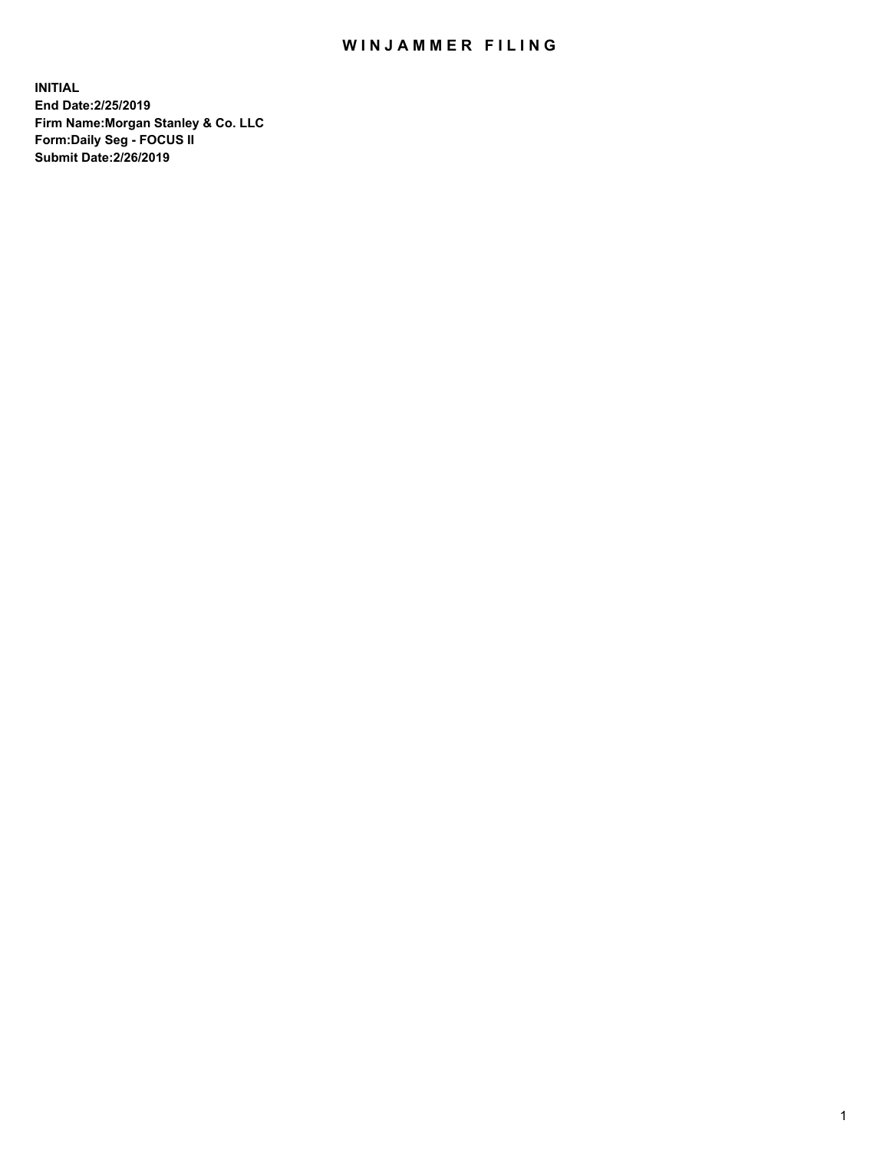## WIN JAMMER FILING

**INITIAL End Date:2/25/2019 Firm Name:Morgan Stanley & Co. LLC Form:Daily Seg - FOCUS II Submit Date:2/26/2019**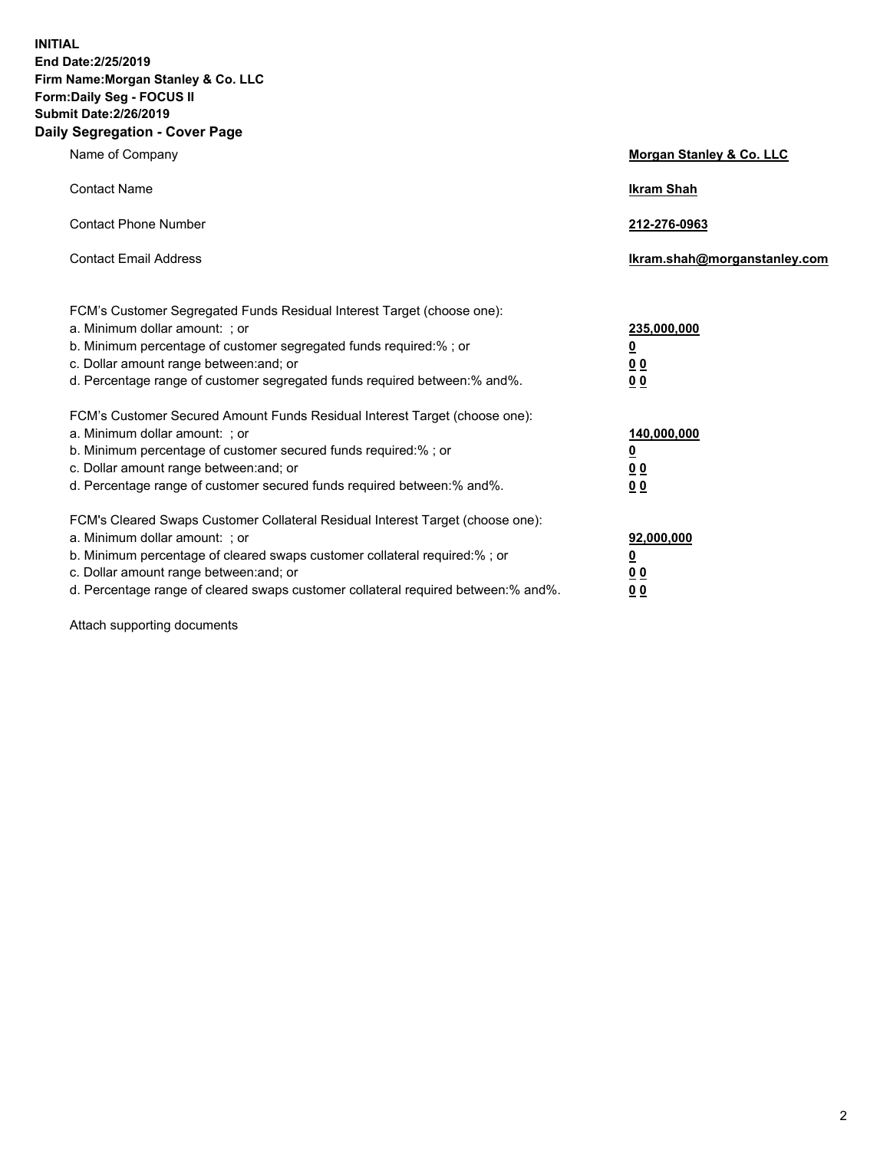**INITIAL End Date:2/25/2019 Firm Name:Morgan Stanley & Co. LLC Form:Daily Seg - FOCUS II Submit Date:2/26/2019 Daily Segregation - Cover Page**

| Name of Company                                                                   | Morgan Stanley & Co. LLC     |
|-----------------------------------------------------------------------------------|------------------------------|
| <b>Contact Name</b>                                                               | <b>Ikram Shah</b>            |
| <b>Contact Phone Number</b>                                                       | 212-276-0963                 |
| <b>Contact Email Address</b>                                                      | Ikram.shah@morganstanley.com |
| FCM's Customer Segregated Funds Residual Interest Target (choose one):            |                              |
| a. Minimum dollar amount: ; or                                                    | 235,000,000                  |
| b. Minimum percentage of customer segregated funds required:% ; or                | <u>0</u>                     |
| c. Dollar amount range between: and; or                                           | <u>0 0</u>                   |
| d. Percentage range of customer segregated funds required between: % and %.       | 00                           |
| FCM's Customer Secured Amount Funds Residual Interest Target (choose one):        |                              |
| a. Minimum dollar amount: ; or                                                    | 140,000,000                  |
| b. Minimum percentage of customer secured funds required:%; or                    | <u>0</u>                     |
| c. Dollar amount range between: and; or                                           | 0 <sub>0</sub>               |
| d. Percentage range of customer secured funds required between:% and%.            | 0 <sub>0</sub>               |
| FCM's Cleared Swaps Customer Collateral Residual Interest Target (choose one):    |                              |
| a. Minimum dollar amount: ; or                                                    | 92,000,000                   |
| b. Minimum percentage of cleared swaps customer collateral required:% ; or        | <u>0</u>                     |
| c. Dollar amount range between: and; or                                           | 0 Q                          |
| d. Percentage range of cleared swaps customer collateral required between:% and%. | 00                           |

Attach supporting documents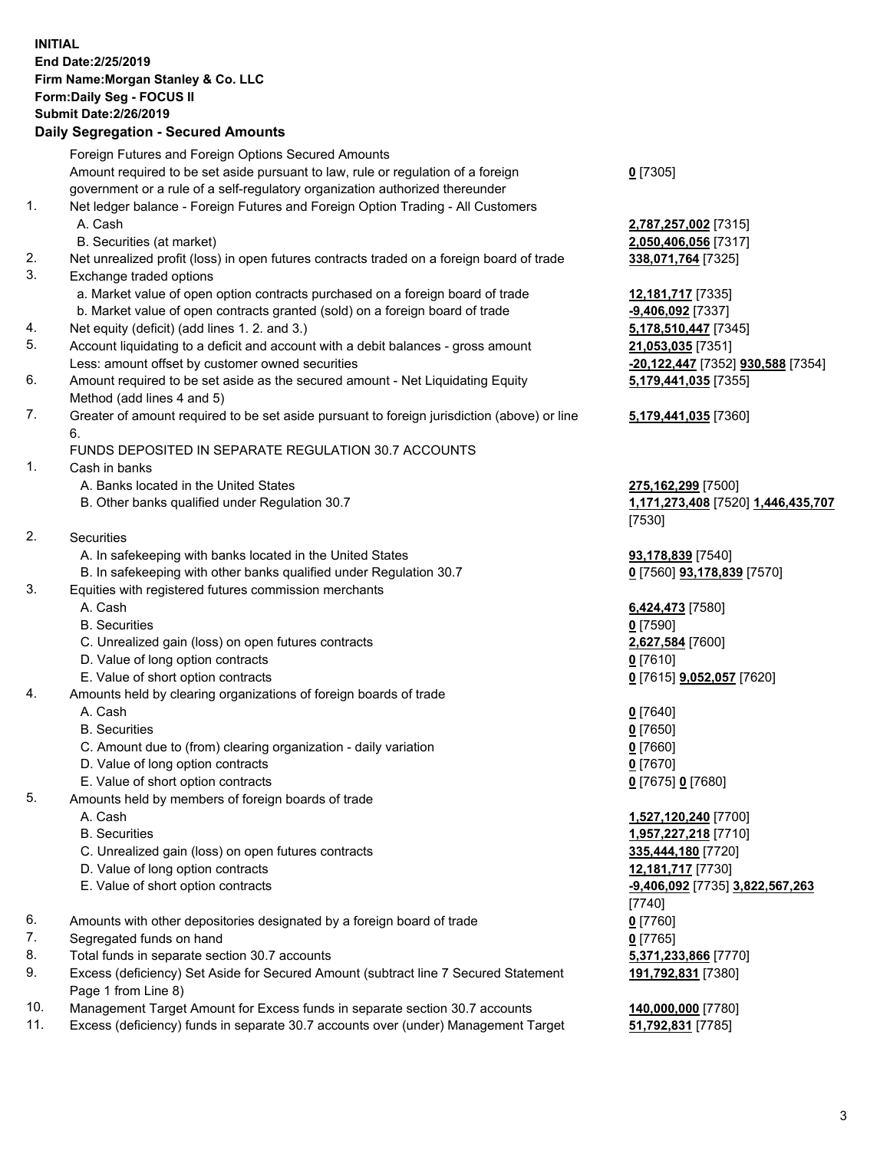## **INITIAL End Date:2/25/2019 Firm Name:Morgan Stanley & Co. LLC Form:Daily Seg - FOCUS II Submit Date:2/26/2019**

## **Daily Segregation - Secured Amounts**

Foreign Futures and Foreign Options Secured Amounts Amount required to be set aside pursuant to law, rule or regulation of a foreign government or a rule of a self-regulatory organization authorized thereunder 1. Net ledger balance - Foreign Futures and Foreign Option Trading - All Customers A. Cash **2,787,257,002** [7315] B. Securities (at market) **2,050,406,056** [7317] 2. Net unrealized profit (loss) in open futures contracts traded on a foreign board of trade **338,071,764** [7325] 3. Exchange traded options a. Market value of open option contracts purchased on a foreign board of trade **12,181,717** [7335] b. Market value of open contracts granted (sold) on a foreign board of trade **-9,406,092** [7337] 4. Net equity (deficit) (add lines 1. 2. and 3.) **5,178,510,447** [7345] 5. Account liquidating to a deficit and account with a debit balances - gross amount **21,053,035** [7351] Less: amount offset by customer owned securities **-20,122,447** [7352] **930,588** [7354] 6. Amount required to be set aside as the secured amount - Net Liquidating Equity Method (add lines 4 and 5) 7. Greater of amount required to be set aside pursuant to foreign jurisdiction (above) or line 6. FUNDS DEPOSITED IN SEPARATE REGULATION 30.7 ACCOUNTS 1. Cash in banks A. Banks located in the United States **275,162,299** [7500] B. Other banks qualified under Regulation 30.7 **1,171,273,408** [7520] **1,446,435,707** 2. Securities A. In safekeeping with banks located in the United States **93,178,839** [7540] B. In safekeeping with other banks qualified under Regulation 30.7 **0** [7560] **93,178,839** [7570] 3. Equities with registered futures commission merchants A. Cash **6,424,473** [7580] B. Securities **0** [7590] C. Unrealized gain (loss) on open futures contracts **2,627,584** [7600] D. Value of long option contracts **0** [7610] E. Value of short option contracts **0** [7615] **9,052,057** [7620] 4. Amounts held by clearing organizations of foreign boards of trade A. Cash **0** [7640] B. Securities **0** [7650] C. Amount due to (from) clearing organization - daily variation **0** [7660] D. Value of long option contracts **0** [7670] E. Value of short option contracts **0** [7675] **0** [7680] 5. Amounts held by members of foreign boards of trade A. Cash **1,527,120,240** [7700] B. Securities **1,957,227,218** [7710] C. Unrealized gain (loss) on open futures contracts **335,444,180** [7720] D. Value of long option contracts **12,181,717** [7730] E. Value of short option contracts **-9,406,092** [7735] **3,822,567,263** 6. Amounts with other depositories designated by a foreign board of trade **0** [7760] 7. Segregated funds on hand **0** [7765] 8. Total funds in separate section 30.7 accounts **5,371,233,866** [7770] 9. Excess (deficiency) Set Aside for Secured Amount (subtract line 7 Secured Statement Page 1 from Line 8)

- 10. Management Target Amount for Excess funds in separate section 30.7 accounts **140,000,000** [7780]
- 11. Excess (deficiency) funds in separate 30.7 accounts over (under) Management Target **51,792,831** [7785]

**0** [7305]

**5,179,441,035** [7355]

## **5,179,441,035** [7360]

[7530]

[7740] **191,792,831** [7380]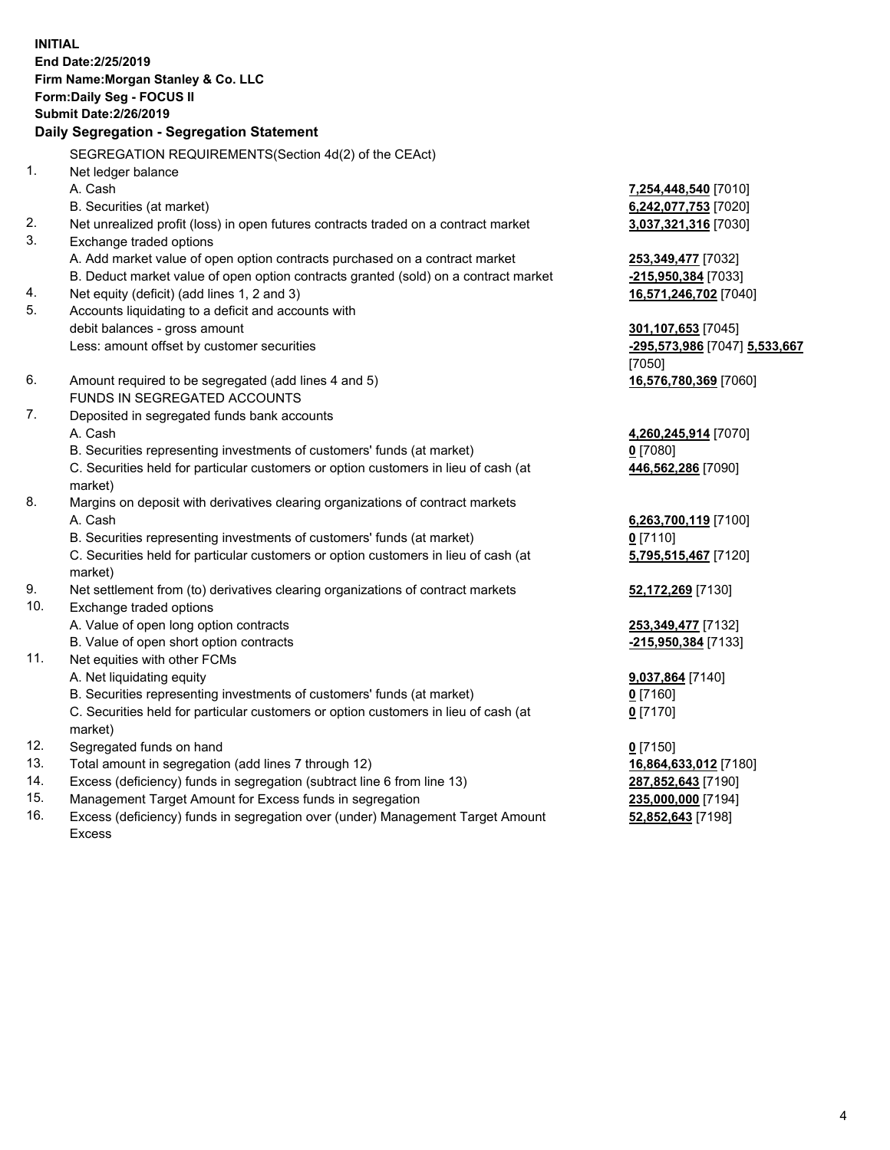**INITIAL End Date:2/25/2019 Firm Name:Morgan Stanley & Co. LLC Form:Daily Seg - FOCUS II Submit Date:2/26/2019 Daily Segregation - Segregation Statement** SEGREGATION REQUIREMENTS(Section 4d(2) of the CEAct) 1. Net ledger balance A. Cash **7,254,448,540** [7010] B. Securities (at market) **6,242,077,753** [7020] 2. Net unrealized profit (loss) in open futures contracts traded on a contract market **3,037,321,316** [7030] 3. Exchange traded options A. Add market value of open option contracts purchased on a contract market **253,349,477** [7032] B. Deduct market value of open option contracts granted (sold) on a contract market **-215,950,384** [7033] 4. Net equity (deficit) (add lines 1, 2 and 3) **16,571,246,702** [7040] 5. Accounts liquidating to a deficit and accounts with debit balances - gross amount **301,107,653** [7045] Less: amount offset by customer securities **-295,573,986** [7047] **5,533,667** [7050] 6. Amount required to be segregated (add lines 4 and 5) **16,576,780,369** [7060] FUNDS IN SEGREGATED ACCOUNTS 7. Deposited in segregated funds bank accounts A. Cash **4,260,245,914** [7070] B. Securities representing investments of customers' funds (at market) **0** [7080] C. Securities held for particular customers or option customers in lieu of cash (at market) **446,562,286** [7090] 8. Margins on deposit with derivatives clearing organizations of contract markets A. Cash **6,263,700,119** [7100] B. Securities representing investments of customers' funds (at market) **0** [7110] C. Securities held for particular customers or option customers in lieu of cash (at market) **5,795,515,467** [7120] 9. Net settlement from (to) derivatives clearing organizations of contract markets **52,172,269** [7130] 10. Exchange traded options A. Value of open long option contracts **253,349,477** [7132] B. Value of open short option contracts **-215,950,384** [7133] 11. Net equities with other FCMs A. Net liquidating equity **9,037,864** [7140] B. Securities representing investments of customers' funds (at market) **0** [7160] C. Securities held for particular customers or option customers in lieu of cash (at market) **0** [7170] 12. Segregated funds on hand **0** [7150] 13. Total amount in segregation (add lines 7 through 12) **16,864,633,012** [7180] 14. Excess (deficiency) funds in segregation (subtract line 6 from line 13) **287,852,643** [7190]

- 15. Management Target Amount for Excess funds in segregation **235,000,000** [7194]
- 16. Excess (deficiency) funds in segregation over (under) Management Target Amount Excess

**52,852,643** [7198]